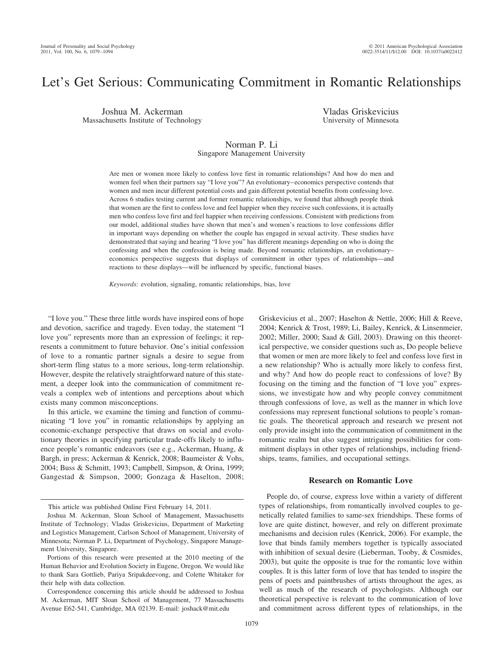# Let's Get Serious: Communicating Commitment in Romantic Relationships

Joshua M. Ackerman Massachusetts Institute of Technology Vladas Griskevicius University of Minnesota

# Norman P. Li

# Singapore Management University

Are men or women more likely to confess love first in romantic relationships? And how do men and women feel when their partners say "I love you"? An evolutionary– economics perspective contends that women and men incur different potential costs and gain different potential benefits from confessing love. Across 6 studies testing current and former romantic relationships, we found that although people think that women are the first to confess love and feel happier when they receive such confessions, it is actually men who confess love first and feel happier when receiving confessions. Consistent with predictions from our model, additional studies have shown that men's and women's reactions to love confessions differ in important ways depending on whether the couple has engaged in sexual activity. These studies have demonstrated that saying and hearing "I love you" has different meanings depending on who is doing the confessing and when the confession is being made. Beyond romantic relationships, an evolutionary– economics perspective suggests that displays of commitment in other types of relationships—and reactions to these displays—will be influenced by specific, functional biases.

*Keywords:* evolution, signaling, romantic relationships, bias, love

"I love you." These three little words have inspired eons of hope and devotion, sacrifice and tragedy. Even today, the statement "I love you" represents more than an expression of feelings; it represents a commitment to future behavior. One's initial confession of love to a romantic partner signals a desire to segue from short-term fling status to a more serious, long-term relationship. However, despite the relatively straightforward nature of this statement, a deeper look into the communication of commitment reveals a complex web of intentions and perceptions about which exists many common misconceptions.

In this article, we examine the timing and function of communicating "I love you" in romantic relationships by applying an economic-exchange perspective that draws on social and evolutionary theories in specifying particular trade-offs likely to influence people's romantic endeavors (see e.g., Ackerman, Huang, & Bargh, in press; Ackerman & Kenrick, 2008; Baumeister & Vohs, 2004; Buss & Schmitt, 1993; Campbell, Simpson, & Orina, 1999; Gangestad & Simpson, 2000; Gonzaga & Haselton, 2008;

Griskevicius et al., 2007; Haselton & Nettle, 2006; Hill & Reeve, 2004; Kenrick & Trost, 1989; Li, Bailey, Kenrick, & Linsenmeier, 2002; Miller, 2000; Saad & Gill, 2003). Drawing on this theoretical perspective, we consider questions such as, Do people believe that women or men are more likely to feel and confess love first in a new relationship? Who is actually more likely to confess first, and why? And how do people react to confessions of love? By focusing on the timing and the function of "I love you" expressions, we investigate how and why people convey commitment through confessions of love, as well as the manner in which love confessions may represent functional solutions to people's romantic goals. The theoretical approach and research we present not only provide insight into the communication of commitment in the romantic realm but also suggest intriguing possibilities for commitment displays in other types of relationships, including friendships, teams, families, and occupational settings.

#### **Research on Romantic Love**

People do, of course, express love within a variety of different types of relationships, from romantically involved couples to genetically related families to same-sex friendships. These forms of love are quite distinct, however, and rely on different proximate mechanisms and decision rules (Kenrick, 2006). For example, the love that binds family members together is typically associated with inhibition of sexual desire (Lieberman, Tooby, & Cosmides, 2003), but quite the opposite is true for the romantic love within couples. It is this latter form of love that has tended to inspire the pens of poets and paintbrushes of artists throughout the ages, as well as much of the research of psychologists. Although our theoretical perspective is relevant to the communication of love and commitment across different types of relationships, in the

This article was published Online First February 14, 2011.

Joshua M. Ackerman, Sloan School of Management, Massachusetts Institute of Technology; Vladas Griskevicius, Department of Marketing and Logistics Management, Carlson School of Management, University of Minnesota; Norman P. Li, Department of Psychology, Singapore Management University, Singapore.

Portions of this research were presented at the 2010 meeting of the Human Behavior and Evolution Society in Eugene, Oregon. We would like to thank Sara Gottlieb, Pariya Sripakdeevong, and Colette Whitaker for their help with data collection.

Correspondence concerning this article should be addressed to Joshua M. Ackerman, MIT Sloan School of Management, 77 Massachusetts Avenue E62-541, Cambridge, MA 02139. E-mail: joshack@mit.edu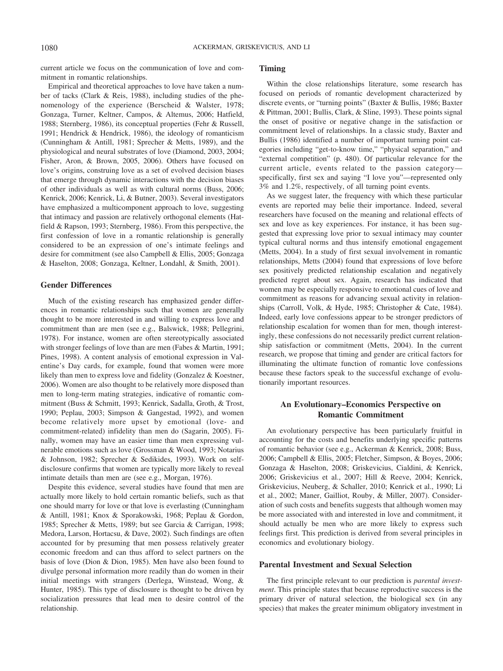current article we focus on the communication of love and commitment in romantic relationships.

Empirical and theoretical approaches to love have taken a number of tacks (Clark & Reis, 1988), including studies of the phenomenology of the experience (Berscheid & Walster, 1978; Gonzaga, Turner, Keltner, Campos, & Altemus, 2006; Hatfield, 1988; Sternberg, 1986), its conceptual properties (Fehr & Russell, 1991; Hendrick & Hendrick, 1986), the ideology of romanticism (Cunningham & Antill, 1981; Sprecher & Metts, 1989), and the physiological and neural substrates of love (Diamond, 2003, 2004; Fisher, Aron, & Brown, 2005, 2006). Others have focused on love's origins, construing love as a set of evolved decision biases that emerge through dynamic interactions with the decision biases of other individuals as well as with cultural norms (Buss, 2006; Kenrick, 2006; Kenrick, Li, & Butner, 2003). Several investigators have emphasized a multicomponent approach to love, suggesting that intimacy and passion are relatively orthogonal elements (Hatfield & Rapson, 1993; Sternberg, 1986). From this perspective, the first confession of love in a romantic relationship is generally considered to be an expression of one's intimate feelings and desire for commitment (see also Campbell & Ellis, 2005; Gonzaga & Haselton, 2008; Gonzaga, Keltner, Londahl, & Smith, 2001).

#### **Gender Differences**

Much of the existing research has emphasized gender differences in romantic relationships such that women are generally thought to be more interested in and willing to express love and commitment than are men (see e.g., Balswick, 1988; Pellegrini, 1978). For instance, women are often stereotypically associated with stronger feelings of love than are men (Fabes & Martin, 1991; Pines, 1998). A content analysis of emotional expression in Valentine's Day cards, for example, found that women were more likely than men to express love and fidelity (Gonzalez & Koestner, 2006). Women are also thought to be relatively more disposed than men to long-term mating strategies, indicative of romantic commitment (Buss & Schmitt, 1993; Kenrick, Sadalla, Groth, & Trost, 1990; Peplau, 2003; Simpson & Gangestad, 1992), and women become relatively more upset by emotional (love- and commitment-related) infidelity than men do (Sagarin, 2005). Finally, women may have an easier time than men expressing vulnerable emotions such as love (Grossman & Wood, 1993; Notarius & Johnson, 1982; Sprecher & Sedikides, 1993). Work on selfdisclosure confirms that women are typically more likely to reveal intimate details than men are (see e.g., Morgan, 1976).

Despite this evidence, several studies have found that men are actually more likely to hold certain romantic beliefs, such as that one should marry for love or that love is everlasting (Cunningham & Antill, 1981; Knox & Sporakowski, 1968; Peplau & Gordon, 1985; Sprecher & Metts, 1989; but see Garcia & Carrigan, 1998; Medora, Larson, Hortacsu, & Dave, 2002). Such findings are often accounted for by presuming that men possess relatively greater economic freedom and can thus afford to select partners on the basis of love (Dion & Dion, 1985). Men have also been found to divulge personal information more readily than do women in their initial meetings with strangers (Derlega, Winstead, Wong, & Hunter, 1985). This type of disclosure is thought to be driven by socialization pressures that lead men to desire control of the relationship.

#### **Timing**

Within the close relationships literature, some research has focused on periods of romantic development characterized by discrete events, or "turning points" (Baxter & Bullis, 1986; Baxter & Pittman, 2001; Bullis, Clark, & Sline, 1993). These points signal the onset of positive or negative change in the satisfaction or commitment level of relationships. In a classic study, Baxter and Bullis (1986) identified a number of important turning point categories including "get-to-know time," "physical separation," and "external competition" (p. 480). Of particular relevance for the current article, events related to the passion category specifically, first sex and saying "I love you"—represented only 3% and 1.2%, respectively, of all turning point events.

As we suggest later, the frequency with which these particular events are reported may belie their importance. Indeed, several researchers have focused on the meaning and relational effects of sex and love as key experiences. For instance, it has been suggested that expressing love prior to sexual intimacy may counter typical cultural norms and thus intensify emotional engagement (Metts, 2004). In a study of first sexual involvement in romantic relationships, Metts (2004) found that expressions of love before sex positively predicted relationship escalation and negatively predicted regret about sex. Again, research has indicated that women may be especially responsive to emotional cues of love and commitment as reasons for advancing sexual activity in relationships (Carroll, Volk, & Hyde, 1985; Christopher & Cate, 1984). Indeed, early love confessions appear to be stronger predictors of relationship escalation for women than for men, though interestingly, these confessions do not necessarily predict current relationship satisfaction or commitment (Metts, 2004). In the current research, we propose that timing and gender are critical factors for illuminating the ultimate function of romantic love confessions because these factors speak to the successful exchange of evolutionarily important resources.

# **An Evolutionary–Economics Perspective on Romantic Commitment**

An evolutionary perspective has been particularly fruitful in accounting for the costs and benefits underlying specific patterns of romantic behavior (see e.g., Ackerman & Kenrick, 2008; Buss, 2006; Campbell & Ellis, 2005; Fletcher, Simpson, & Boyes, 2006; Gonzaga & Haselton, 2008; Griskevicius, Cialdini, & Kenrick, 2006; Griskevicius et al., 2007; Hill & Reeve, 2004; Kenrick, Griskevicius, Neuberg, & Schaller, 2010; Kenrick et al., 1990; Li et al., 2002; Maner, Gailliot, Rouby, & Miller, 2007). Consideration of such costs and benefits suggests that although women may be more associated with and interested in love and commitment, it should actually be men who are more likely to express such feelings first. This prediction is derived from several principles in economics and evolutionary biology.

#### **Parental Investment and Sexual Selection**

The first principle relevant to our prediction is *parental investment*. This principle states that because reproductive success is the primary driver of natural selection, the biological sex (in any species) that makes the greater minimum obligatory investment in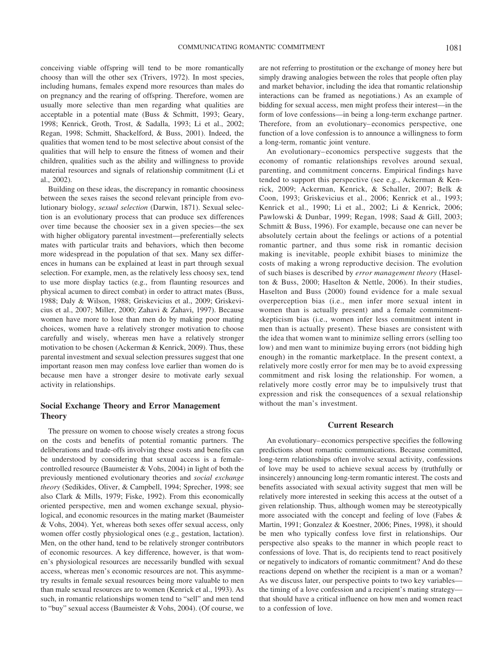conceiving viable offspring will tend to be more romantically choosy than will the other sex (Trivers, 1972). In most species, including humans, females expend more resources than males do on pregnancy and the rearing of offspring. Therefore, women are usually more selective than men regarding what qualities are acceptable in a potential mate (Buss & Schmitt, 1993; Geary, 1998; Kenrick, Groth, Trost, & Sadalla, 1993; Li et al., 2002; Regan, 1998; Schmitt, Shackelford, & Buss, 2001). Indeed, the qualities that women tend to be most selective about consist of the qualities that will help to ensure the fitness of women and their children, qualities such as the ability and willingness to provide material resources and signals of relationship commitment (Li et al., 2002).

Building on these ideas, the discrepancy in romantic choosiness between the sexes raises the second relevant principle from evolutionary biology, *sexual selection* (Darwin, 1871). Sexual selection is an evolutionary process that can produce sex differences over time because the choosier sex in a given species—the sex with higher obligatory parental investment—preferentially selects mates with particular traits and behaviors, which then become more widespread in the population of that sex. Many sex differences in humans can be explained at least in part through sexual selection. For example, men, as the relatively less choosy sex, tend to use more display tactics (e.g., from flaunting resources and physical acumen to direct combat) in order to attract mates (Buss, 1988; Daly & Wilson, 1988; Griskevicius et al., 2009; Griskevicius et al., 2007; Miller, 2000; Zahavi & Zahavi, 1997). Because women have more to lose than men do by making poor mating choices, women have a relatively stronger motivation to choose carefully and wisely, whereas men have a relatively stronger motivation to be chosen (Ackerman & Kenrick, 2009). Thus, these parental investment and sexual selection pressures suggest that one important reason men may confess love earlier than women do is because men have a stronger desire to motivate early sexual activity in relationships.

# **Social Exchange Theory and Error Management Theory**

The pressure on women to choose wisely creates a strong focus on the costs and benefits of potential romantic partners. The deliberations and trade-offs involving these costs and benefits can be understood by considering that sexual access is a femalecontrolled resource (Baumeister & Vohs, 2004) in light of both the previously mentioned evolutionary theories and *social exchange theory* (Sedikides, Oliver, & Campbell, 1994; Sprecher, 1998; see also Clark & Mills, 1979; Fiske, 1992). From this economically oriented perspective, men and women exchange sexual, physiological, and economic resources in the mating market (Baumeister & Vohs, 2004). Yet, whereas both sexes offer sexual access, only women offer costly physiological ones (e.g., gestation, lactation). Men, on the other hand, tend to be relatively stronger contributors of economic resources. A key difference, however, is that women's physiological resources are necessarily bundled with sexual access, whereas men's economic resources are not. This asymmetry results in female sexual resources being more valuable to men than male sexual resources are to women (Kenrick et al., 1993). As such, in romantic relationships women tend to "sell" and men tend to "buy" sexual access (Baumeister & Vohs, 2004). (Of course, we

are not referring to prostitution or the exchange of money here but simply drawing analogies between the roles that people often play and market behavior, including the idea that romantic relationship interactions can be framed as negotiations.) As an example of bidding for sexual access, men might profess their interest—in the form of love confessions—in being a long-term exchange partner. Therefore, from an evolutionary– economics perspective, one function of a love confession is to announce a willingness to form a long-term, romantic joint venture.

An evolutionary– economics perspective suggests that the economy of romantic relationships revolves around sexual, parenting, and commitment concerns. Empirical findings have tended to support this perspective (see e.g., Ackerman & Kenrick, 2009; Ackerman, Kenrick, & Schaller, 2007; Belk & Coon, 1993; Griskevicius et al., 2006; Kenrick et al., 1993; Kenrick et al., 1990; Li et al., 2002; Li & Kenrick, 2006; Pawlowski & Dunbar, 1999; Regan, 1998; Saad & Gill, 2003; Schmitt & Buss, 1996). For example, because one can never be absolutely certain about the feelings or actions of a potential romantic partner, and thus some risk in romantic decision making is inevitable, people exhibit biases to minimize the costs of making a wrong reproductive decision. The evolution of such biases is described by *error management theory* (Haselton & Buss, 2000; Haselton & Nettle, 2006). In their studies, Haselton and Buss (2000) found evidence for a male sexual overperception bias (i.e., men infer more sexual intent in women than is actually present) and a female commitmentskepticism bias (i.e., women infer less commitment intent in men than is actually present). These biases are consistent with the idea that women want to minimize selling errors (selling too low) and men want to minimize buying errors (not bidding high enough) in the romantic marketplace. In the present context, a relatively more costly error for men may be to avoid expressing commitment and risk losing the relationship. For women, a relatively more costly error may be to impulsively trust that expression and risk the consequences of a sexual relationship without the man's investment.

#### **Current Research**

An evolutionary– economics perspective specifies the following predictions about romantic communications. Because committed, long-term relationships often involve sexual activity, confessions of love may be used to achieve sexual access by (truthfully or insincerely) announcing long-term romantic interest. The costs and benefits associated with sexual activity suggest that men will be relatively more interested in seeking this access at the outset of a given relationship. Thus, although women may be stereotypically more associated with the concept and feeling of love (Fabes & Martin, 1991; Gonzalez & Koestner, 2006; Pines, 1998), it should be men who typically confess love first in relationships. Our perspective also speaks to the manner in which people react to confessions of love. That is, do recipients tend to react positively or negatively to indicators of romantic commitment? And do these reactions depend on whether the recipient is a man or a woman? As we discuss later, our perspective points to two key variables the timing of a love confession and a recipient's mating strategy that should have a critical influence on how men and women react to a confession of love.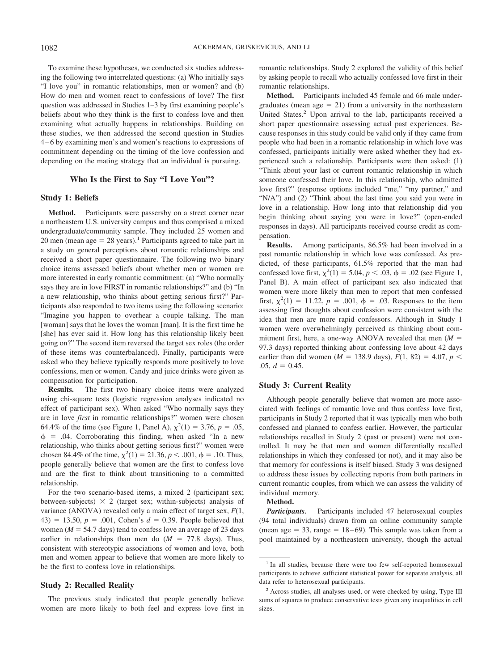To examine these hypotheses, we conducted six studies addressing the following two interrelated questions: (a) Who initially says "I love you" in romantic relationships, men or women? and (b) How do men and women react to confessions of love? The first question was addressed in Studies 1–3 by first examining people's beliefs about who they think is the first to confess love and then examining what actually happens in relationships. Building on these studies, we then addressed the second question in Studies 4 – 6 by examining men's and women's reactions to expressions of commitment depending on the timing of the love confession and depending on the mating strategy that an individual is pursuing.

#### **Who Is the First to Say "I Love You"?**

#### **Study 1: Beliefs**

**Method.** Participants were passersby on a street corner near a northeastern U.S. university campus and thus comprised a mixed undergraduate/community sample. They included 25 women and 20 men (mean age  $= 28$  years).<sup>1</sup> Participants agreed to take part in a study on general perceptions about romantic relationships and received a short paper questionnaire. The following two binary choice items assessed beliefs about whether men or women are more interested in early romantic commitment: (a) "Who normally says they are in love FIRST in romantic relationships?" and (b) "In a new relationship, who thinks about getting serious first?" Participants also responded to two items using the following scenario: "Imagine you happen to overhear a couple talking. The man [woman] says that he loves the woman [man]. It is the first time he [she] has ever said it. How long has this relationship likely been going on?" The second item reversed the target sex roles (the order of these items was counterbalanced). Finally, participants were asked who they believe typically responds more positively to love confessions, men or women. Candy and juice drinks were given as compensation for participation.

**Results.** The first two binary choice items were analyzed using chi-square tests (logistic regression analyses indicated no effect of participant sex). When asked "Who normally says they are in love *first* in romantic relationships?" women were chosen 64.4% of the time (see Figure 1, Panel A),  $\chi^2(1) = 3.76$ ,  $p = .05$ ,  $\phi$  = .04. Corroborating this finding, when asked "In a new relationship, who thinks about getting serious first?" women were chosen 84.4% of the time,  $\chi^2(1) = 21.36, p < .001, \phi = .10$ . Thus, people generally believe that women are the first to confess love and are the first to think about transitioning to a committed relationship.

For the two scenario-based items, a mixed 2 (participant sex; between-subjects)  $\times$  2 (target sex; within-subjects) analysis of variance (ANOVA) revealed only a main effect of target sex, *F*(1, 43) = 13.50,  $p = .001$ , Cohen's  $d = 0.39$ . People believed that women ( $M = 54.7$  days) tend to confess love an average of 23 days earlier in relationships than men do  $(M = 77.8$  days). Thus, consistent with stereotypic associations of women and love, both men and women appear to believe that women are more likely to be the first to confess love in relationships.

#### **Study 2: Recalled Reality**

The previous study indicated that people generally believe women are more likely to both feel and express love first in romantic relationships. Study 2 explored the validity of this belief by asking people to recall who actually confessed love first in their romantic relationships.

**Method.** Participants included 45 female and 66 male undergraduates (mean age  $= 21$ ) from a university in the northeastern United States.<sup>2</sup> Upon arrival to the lab, participants received a short paper questionnaire assessing actual past experiences. Because responses in this study could be valid only if they came from people who had been in a romantic relationship in which love was confessed, participants initially were asked whether they had experienced such a relationship. Participants were then asked: (1) "Think about your last or current romantic relationship in which someone confessed their love. In this relationship, who admitted love first?" (response options included "me," "my partner," and "N/A") and (2) "Think about the last time you said you were in love in a relationship. How long into that relationship did you begin thinking about saying you were in love?" (open-ended responses in days). All participants received course credit as compensation.

**Results.** Among participants, 86.5% had been involved in a past romantic relationship in which love was confessed. As predicted, of these participants, 61.5% reported that the man had confessed love first,  $\chi^2(1) = 5.04$ ,  $p < .03$ ,  $\phi = .02$  (see Figure 1, Panel B). A main effect of participant sex also indicated that women were more likely than men to report that men confessed first,  $\chi^2(1) = 11.22$ ,  $p = .001$ ,  $\phi = .03$ . Responses to the item assessing first thoughts about confession were consistent with the idea that men are more rapid confessors. Although in Study 1 women were overwhelmingly perceived as thinking about commitment first, here, a one-way ANOVA revealed that men (*M* 97.3 days) reported thinking about confessing love about 42 days earlier than did women ( $M = 138.9$  days),  $F(1, 82) = 4.07$ ,  $p <$  $.05, d = 0.45.$ 

## **Study 3: Current Reality**

Although people generally believe that women are more associated with feelings of romantic love and thus confess love first, participants in Study 2 reported that it was typically men who both confessed and planned to confess earlier. However, the particular relationships recalled in Study 2 (past or present) were not controlled. It may be that men and women differentially recalled relationships in which they confessed (or not), and it may also be that memory for confessions is itself biased. Study 3 was designed to address these issues by collecting reports from both partners in current romantic couples, from which we can assess the validity of individual memory.

## **Method.**

*Participants.* Participants included 47 heterosexual couples (94 total individuals) drawn from an online community sample (mean age  $= 33$ , range  $= 18-69$ ). This sample was taken from a pool maintained by a northeastern university, though the actual

<sup>&</sup>lt;sup>1</sup> In all studies, because there were too few self-reported homosexual participants to achieve sufficient statistical power for separate analysis, all data refer to heterosexual participants.

<sup>2</sup> Across studies, all analyses used, or were checked by using, Type III sums of squares to produce conservative tests given any inequalities in cell sizes.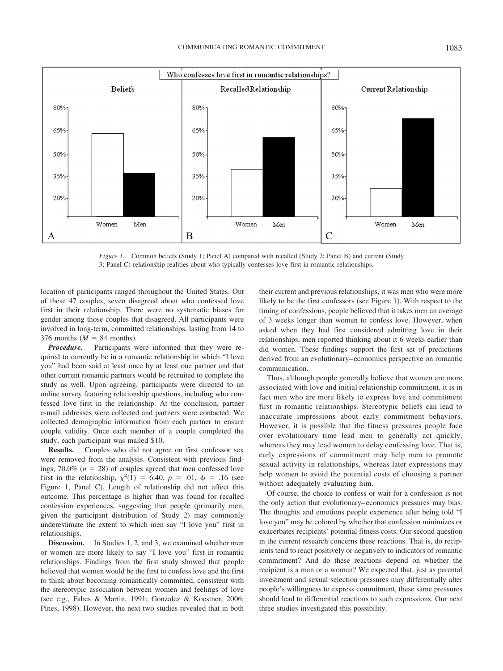

*Figure 1.* Common beliefs (Study 1; Panel A) compared with recalled (Study 2; Panel B) and current (Study 3; Panel C) relationship realities about who typically confesses love first in romantic relationships.

location of participants ranged throughout the United States. Out of these 47 couples, seven disagreed about who confessed love first in their relationship. There were no systematic biases for gender among those couples that disagreed. All participants were involved in long-term, committed relationships, lasting from 14 to 376 months ( $M = 84$  months).

*Procedure.* Participants were informed that they were required to currently be in a romantic relationship in which "I love you" had been said at least once by at least one partner and that other current romantic partners would be recruited to complete the study as well. Upon agreeing, participants were directed to an online survey featuring relationship questions, including who confessed love first in the relationship. At the conclusion, partner e-mail addresses were collected and partners were contacted. We collected demographic information from each partner to ensure couple validity. Once each member of a couple completed the study, each participant was mailed \$10.

**Results.** Couples who did not agree on first confessor sex were removed from the analysis. Consistent with previous findings,  $70.0\%$  ( $n = 28$ ) of couples agreed that men confessed love first in the relationship,  $\chi^2(1) = 6.40, p = .01, \phi = .16$  (see Figure 1, Panel C). Length of relationship did not affect this outcome. This percentage is higher than was found for recalled confession experiences, suggesting that people (primarily men, given the participant distribution of Study 2) may commonly underestimate the extent to which men say "I love you" first in relationships.

**Discussion.** In Studies 1, 2, and 3, we examined whether men or women are more likely to say "I love you" first in romantic relationships. Findings from the first study showed that people believed that women would be the first to confess love and the first to think about becoming romantically committed, consistent with the stereotypic association between women and feelings of love (see e.g., Fabes & Martin, 1991; Gonzalez & Koestner, 2006; Pines, 1998). However, the next two studies revealed that in both their current and previous relationships, it was men who were more likely to be the first confessors (see Figure 1). With respect to the timing of confessions, people believed that it takes men an average of 3 weeks longer than women to confess love. However, when asked when they had first considered admitting love in their relationships, men reported thinking about it 6 weeks earlier than did women. These findings support the first set of predictions derived from an evolutionary– economics perspective on romantic communication.

Thus, although people generally believe that women are more associated with love and initial relationship commitment, it is in fact men who are more likely to express love and commitment first in romantic relationships. Stereotypic beliefs can lead to inaccurate impressions about early commitment behaviors. However, it is possible that the fitness pressures people face over evolutionary time lead men to generally act quickly, whereas they may lead women to delay confessing love. That is, early expressions of commitment may help men to promote sexual activity in relationships, whereas later expressions may help women to avoid the potential costs of choosing a partner without adequately evaluating him.

Of course, the choice to confess or wait for a confession is not the only action that evolutionary– economics pressures may bias. The thoughts and emotions people experience after being told "I love you" may be colored by whether that confession minimizes or exacerbates recipients' potential fitness costs. Our second question in the current research concerns these reactions. That is, do recipients tend to react positively or negatively to indicators of romantic commitment? And do these reactions depend on whether the recipient is a man or a woman? We expected that, just as parental investment and sexual selection pressures may differentially alter people's willingness to express commitment, these same pressures should lead to differential reactions to such expressions. Our next three studies investigated this possibility.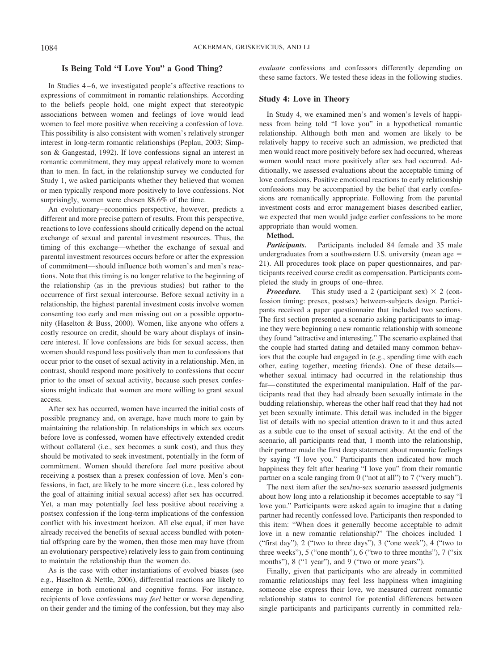## **Is Being Told "I Love You" a Good Thing?**

In Studies 4 – 6, we investigated people's affective reactions to expressions of commitment in romantic relationships. According to the beliefs people hold, one might expect that stereotypic associations between women and feelings of love would lead women to feel more positive when receiving a confession of love. This possibility is also consistent with women's relatively stronger interest in long-term romantic relationships (Peplau, 2003; Simpson & Gangestad, 1992). If love confessions signal an interest in romantic commitment, they may appeal relatively more to women than to men. In fact, in the relationship survey we conducted for Study 1, we asked participants whether they believed that women or men typically respond more positively to love confessions. Not surprisingly, women were chosen 88.6% of the time.

An evolutionary– economics perspective, however, predicts a different and more precise pattern of results. From this perspective, reactions to love confessions should critically depend on the actual exchange of sexual and parental investment resources. Thus, the timing of this exchange—whether the exchange of sexual and parental investment resources occurs before or after the expression of commitment—should influence both women's and men's reactions. Note that this timing is no longer relative to the beginning of the relationship (as in the previous studies) but rather to the occurrence of first sexual intercourse. Before sexual activity in a relationship, the highest parental investment costs involve women consenting too early and men missing out on a possible opportunity (Haselton & Buss, 2000). Women, like anyone who offers a costly resource on credit, should be wary about displays of insincere interest. If love confessions are bids for sexual access, then women should respond less positively than men to confessions that occur prior to the onset of sexual activity in a relationship. Men, in contrast, should respond more positively to confessions that occur prior to the onset of sexual activity, because such presex confessions might indicate that women are more willing to grant sexual access.

After sex has occurred, women have incurred the initial costs of possible pregnancy and, on average, have much more to gain by maintaining the relationship. In relationships in which sex occurs before love is confessed, women have effectively extended credit without collateral (i.e., sex becomes a sunk cost), and thus they should be motivated to seek investment, potentially in the form of commitment. Women should therefore feel more positive about receiving a postsex than a presex confession of love. Men's confessions, in fact, are likely to be more sincere (i.e., less colored by the goal of attaining initial sexual access) after sex has occurred. Yet, a man may potentially feel less positive about receiving a postsex confession if the long-term implications of the confession conflict with his investment horizon. All else equal, if men have already received the benefits of sexual access bundled with potential offspring care by the women, then those men may have (from an evolutionary perspective) relatively less to gain from continuing to maintain the relationship than the women do.

As is the case with other instantiations of evolved biases (see e.g., Haselton & Nettle, 2006), differential reactions are likely to emerge in both emotional and cognitive forms. For instance, recipients of love confessions may *feel* better or worse depending on their gender and the timing of the confession, but they may also *evaluate* confessions and confessors differently depending on these same factors. We tested these ideas in the following studies.

## **Study 4: Love in Theory**

In Study 4, we examined men's and women's levels of happiness from being told "I love you" in a hypothetical romantic relationship. Although both men and women are likely to be relatively happy to receive such an admission, we predicted that men would react more positively before sex had occurred, whereas women would react more positively after sex had occurred. Additionally, we assessed evaluations about the acceptable timing of love confessions. Positive emotional reactions to early relationship confessions may be accompanied by the belief that early confessions are romantically appropriate. Following from the parental investment costs and error management biases described earlier, we expected that men would judge earlier confessions to be more appropriate than would women.

## **Method.**

*Participants.* Participants included 84 female and 35 male undergraduates from a southwestern U.S. university (mean age 21). All procedures took place on paper questionnaires, and participants received course credit as compensation. Participants completed the study in groups of one–three.

*Procedure.* This study used a 2 (participant sex)  $\times$  2 (confession timing: presex, postsex) between-subjects design. Participants received a paper questionnaire that included two sections. The first section presented a scenario asking participants to imagine they were beginning a new romantic relationship with someone they found "attractive and interesting." The scenario explained that the couple had started dating and detailed many common behaviors that the couple had engaged in (e.g., spending time with each other, eating together, meeting friends). One of these details whether sexual intimacy had occurred in the relationship thus far— constituted the experimental manipulation. Half of the participants read that they had already been sexually intimate in the budding relationship, whereas the other half read that they had not yet been sexually intimate. This detail was included in the bigger list of details with no special attention drawn to it and thus acted as a subtle cue to the onset of sexual activity. At the end of the scenario, all participants read that, 1 month into the relationship, their partner made the first deep statement about romantic feelings by saying "I love you." Participants then indicated how much happiness they felt after hearing "I love you" from their romantic partner on a scale ranging from 0 ("not at all") to 7 ("very much").

The next item after the sex/no-sex scenario assessed judgments about how long into a relationship it becomes acceptable to say "I love you." Participants were asked again to imagine that a dating partner had recently confessed love. Participants then responded to this item: "When does it generally become acceptable to admit love in a new romantic relationship?" The choices included 1 ("first day"), 2 ("two to three days"), 3 ("one week"), 4 ("two to three weeks"), 5 ("one month"), 6 ("two to three months"), 7 ("six months"), 8 ("1 year"), and 9 ("two or more years").

Finally, given that participants who are already in committed romantic relationships may feel less happiness when imagining someone else express their love, we measured current romantic relationship status to control for potential differences between single participants and participants currently in committed rela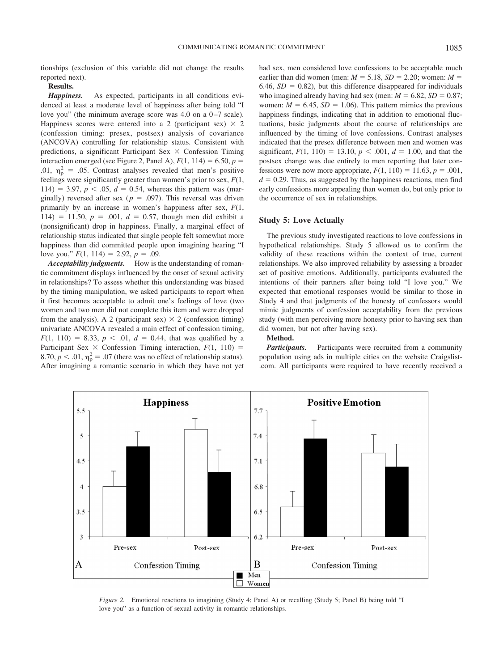tionships (exclusion of this variable did not change the results reported next).

#### **Results.**

*Happiness.* As expected, participants in all conditions evidenced at least a moderate level of happiness after being told "I love you" (the minimum average score was  $4.0$  on a  $0-7$  scale). Happiness scores were entered into a 2 (participant sex)  $\times$  2 (confession timing: presex, postsex) analysis of covariance (ANCOVA) controlling for relationship status. Consistent with predictions, a significant Participant Sex  $\times$  Confession Timing interaction emerged (see Figure 2, Panel A),  $F(1, 114) = 6.50$ ,  $p =$ .01,  $\eta_p^2$  = .05. Contrast analyses revealed that men's positive feelings were significantly greater than women's prior to sex, *F*(1,  $114$ ) = 3.97,  $p < .05$ ,  $d = 0.54$ , whereas this pattern was (marginally) reversed after sex ( $p = .097$ ). This reversal was driven primarily by an increase in women's happiness after sex, *F*(1,  $114$ ) = 11.50,  $p = .001$ ,  $d = 0.57$ , though men did exhibit a (nonsignificant) drop in happiness. Finally, a marginal effect of relationship status indicated that single people felt somewhat more happiness than did committed people upon imagining hearing "I love you,"  $F(1, 114) = 2.92, p = .09$ .

*Acceptability judgments.* How is the understanding of romantic commitment displays influenced by the onset of sexual activity in relationships? To assess whether this understanding was biased by the timing manipulation, we asked participants to report when it first becomes acceptable to admit one's feelings of love (two women and two men did not complete this item and were dropped from the analysis). A 2 (participant sex)  $\times$  2 (confession timing) univariate ANCOVA revealed a main effect of confession timing,  $F(1, 110) = 8.33, p < .01, d = 0.44$ , that was qualified by a Participant Sex  $\times$  Confession Timing interaction,  $F(1, 110) =$ 8.70,  $p < .01$ ,  $\eta_p^2 = .07$  (there was no effect of relationship status). After imagining a romantic scenario in which they have not yet had sex, men considered love confessions to be acceptable much earlier than did women (men:  $M = 5.18$ ,  $SD = 2.20$ ; women:  $M =$ 6.46,  $SD = 0.82$ ), but this difference disappeared for individuals who imagined already having had sex (men:  $M = 6.82$ ,  $SD = 0.87$ ; women:  $M = 6.45$ ,  $SD = 1.06$ ). This pattern mimics the previous happiness findings, indicating that in addition to emotional fluctuations, basic judgments about the course of relationships are influenced by the timing of love confessions. Contrast analyses indicated that the presex difference between men and women was significant,  $F(1, 110) = 13.10, p < .001, d = 1.00$ , and that the postsex change was due entirely to men reporting that later confessions were now more appropriate,  $F(1, 110) = 11.63$ ,  $p = .001$ ,  $d = 0.29$ . Thus, as suggested by the happiness reactions, men find early confessions more appealing than women do, but only prior to the occurrence of sex in relationships.

#### **Study 5: Love Actually**

The previous study investigated reactions to love confessions in hypothetical relationships. Study 5 allowed us to confirm the validity of these reactions within the context of true, current relationships. We also improved reliability by assessing a broader set of positive emotions. Additionally, participants evaluated the intentions of their partners after being told "I love you." We expected that emotional responses would be similar to those in Study 4 and that judgments of the honesty of confessors would mimic judgments of confession acceptability from the previous study (with men perceiving more honesty prior to having sex than did women, but not after having sex).

# **Method.**

*Participants.* Participants were recruited from a community population using ads in multiple cities on the website Craigslist- .com. All participants were required to have recently received a



*Figure 2.* Emotional reactions to imagining (Study 4; Panel A) or recalling (Study 5; Panel B) being told "I love you" as a function of sexual activity in romantic relationships.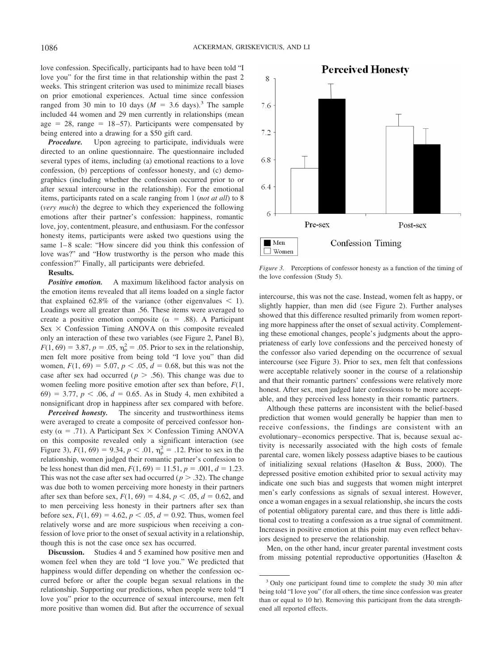love confession. Specifically, participants had to have been told "I love you" for the first time in that relationship within the past 2 weeks. This stringent criterion was used to minimize recall biases on prior emotional experiences. Actual time since confession ranged from 30 min to 10 days ( $M = 3.6$  days).<sup>3</sup> The sample included 44 women and 29 men currently in relationships (mean age  $= 28$ , range  $= 18-57$ ). Participants were compensated by being entered into a drawing for a \$50 gift card.

*Procedure.* Upon agreeing to participate, individuals were directed to an online questionnaire. The questionnaire included several types of items, including (a) emotional reactions to a love confession, (b) perceptions of confessor honesty, and (c) demographics (including whether the confession occurred prior to or after sexual intercourse in the relationship). For the emotional items, participants rated on a scale ranging from 1 (*not at all*) to 8 (*very much*) the degree to which they experienced the following emotions after their partner's confession: happiness, romantic love, joy, contentment, pleasure, and enthusiasm. For the confessor honesty items, participants were asked two questions using the same  $1-8$  scale: "How sincere did you think this confession of love was?" and "How trustworthy is the person who made this confession?" Finally, all participants were debriefed.

#### **Results.**

**Positive emotion.** A maximum likelihood factor analysis on the emotion items revealed that all items loaded on a single factor that explained 62.8% of the variance (other eigenvalues  $\leq$  1). Loadings were all greater than .56. These items were averaged to create a positive emotion composite ( $\alpha$  = .88). A Participant  $Sex \times$  Confession Timing ANOVA on this composite revealed only an interaction of these two variables (see Figure 2, Panel B),  $F(1, 69) = 3.87, p = .05, \eta_p^2 = .05$ . Prior to sex in the relationship, men felt more positive from being told "I love you" than did women,  $F(1, 69) = 5.07$ ,  $p < .05$ ,  $d = 0.68$ , but this was not the case after sex had occurred ( $p > .56$ ). This change was due to women feeling more positive emotion after sex than before, *F*(1, 69) = 3.77,  $p < .06$ ,  $d = 0.65$ . As in Study 4, men exhibited a nonsignificant drop in happiness after sex compared with before.

*Perceived honesty.* The sincerity and trustworthiness items were averaged to create a composite of perceived confessor honesty ( $\alpha$  = .71). A Participant Sex  $\times$  Confession Timing ANOVA on this composite revealed only a significant interaction (see Figure 3),  $F(1, 69) = 9.34$ ,  $p < .01$ ,  $\eta_p^2 = .12$ . Prior to sex in the relationship, women judged their romantic partner's confession to be less honest than did men,  $F(1, 69) = 11.51$ ,  $p = .001$ ,  $d = 1.23$ . This was not the case after sex had occurred ( $p > .32$ ). The change was due both to women perceiving more honesty in their partners after sex than before sex,  $F(1, 69) = 4.84$ ,  $p < .05$ ,  $d = 0.62$ , and to men perceiving less honesty in their partners after sex than before sex,  $F(1, 69) = 4.62$ ,  $p < .05$ ,  $d = 0.92$ . Thus, women feel relatively worse and are more suspicious when receiving a confession of love prior to the onset of sexual activity in a relationship, though this is not the case once sex has occurred.

**Discussion.** Studies 4 and 5 examined how positive men and women feel when they are told "I love you." We predicted that happiness would differ depending on whether the confession occurred before or after the couple began sexual relations in the relationship. Supporting our predictions, when people were told "I love you" prior to the occurrence of sexual intercourse, men felt more positive than women did. But after the occurrence of sexual



*Figure 3.* Perceptions of confessor honesty as a function of the timing of the love confession (Study 5).

intercourse, this was not the case. Instead, women felt as happy, or slightly happier, than men did (see Figure 2). Further analyses showed that this difference resulted primarily from women reporting more happiness after the onset of sexual activity. Complementing these emotional changes, people's judgments about the appropriateness of early love confessions and the perceived honesty of the confessor also varied depending on the occurrence of sexual intercourse (see Figure 3). Prior to sex, men felt that confessions were acceptable relatively sooner in the course of a relationship and that their romantic partners' confessions were relatively more honest. After sex, men judged later confessions to be more acceptable, and they perceived less honesty in their romantic partners.

Although these patterns are inconsistent with the belief-based prediction that women would generally be happier than men to receive confessions, the findings are consistent with an evolutionary– economics perspective. That is, because sexual activity is necessarily associated with the high costs of female parental care, women likely possess adaptive biases to be cautious of initializing sexual relations (Haselton & Buss, 2000). The depressed positive emotion exhibited prior to sexual activity may indicate one such bias and suggests that women might interpret men's early confessions as signals of sexual interest. However, once a woman engages in a sexual relationship, she incurs the costs of potential obligatory parental care, and thus there is little additional cost to treating a confession as a true signal of commitment. Increases in positive emotion at this point may even reflect behaviors designed to preserve the relationship.

Men, on the other hand, incur greater parental investment costs from missing potential reproductive opportunities (Haselton &

<sup>&</sup>lt;sup>3</sup> Only one participant found time to complete the study 30 min after being told "I love you" (for all others, the time since confession was greater than or equal to 10 hr). Removing this participant from the data strengthened all reported effects.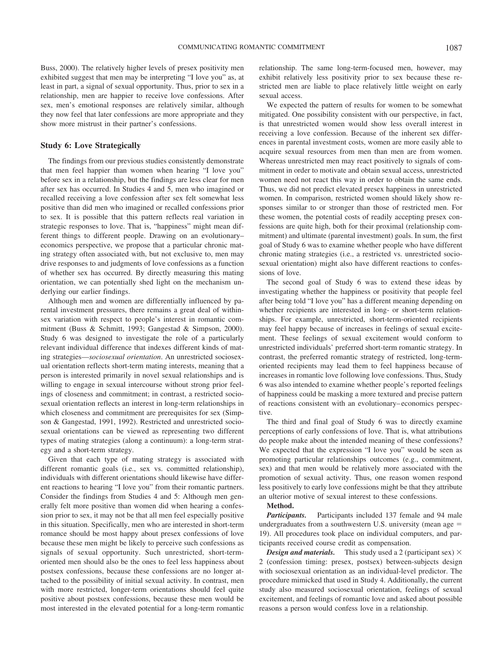Buss, 2000). The relatively higher levels of presex positivity men exhibited suggest that men may be interpreting "I love you" as, at least in part, a signal of sexual opportunity. Thus, prior to sex in a relationship, men are happier to receive love confessions. After sex, men's emotional responses are relatively similar, although they now feel that later confessions are more appropriate and they show more mistrust in their partner's confessions.

#### **Study 6: Love Strategically**

The findings from our previous studies consistently demonstrate that men feel happier than women when hearing "I love you" before sex in a relationship, but the findings are less clear for men after sex has occurred. In Studies 4 and 5, men who imagined or recalled receiving a love confession after sex felt somewhat less positive than did men who imagined or recalled confessions prior to sex. It is possible that this pattern reflects real variation in strategic responses to love. That is, "happiness" might mean different things to different people. Drawing on an evolutionary– economics perspective, we propose that a particular chronic mating strategy often associated with, but not exclusive to, men may drive responses to and judgments of love confessions as a function of whether sex has occurred. By directly measuring this mating orientation, we can potentially shed light on the mechanism underlying our earlier findings.

Although men and women are differentially influenced by parental investment pressures, there remains a great deal of withinsex variation with respect to people's interest in romantic commitment (Buss & Schmitt, 1993; Gangestad & Simpson, 2000). Study 6 was designed to investigate the role of a particularly relevant individual difference that indexes different kinds of mating strategies—*sociosexual orientation*. An unrestricted sociosexual orientation reflects short-term mating interests, meaning that a person is interested primarily in novel sexual relationships and is willing to engage in sexual intercourse without strong prior feelings of closeness and commitment; in contrast, a restricted sociosexual orientation reflects an interest in long-term relationships in which closeness and commitment are prerequisites for sex (Simpson & Gangestad, 1991, 1992). Restricted and unrestricted sociosexual orientations can be viewed as representing two different types of mating strategies (along a continuum): a long-term strategy and a short-term strategy.

Given that each type of mating strategy is associated with different romantic goals (i.e., sex vs. committed relationship), individuals with different orientations should likewise have different reactions to hearing "I love you" from their romantic partners. Consider the findings from Studies 4 and 5: Although men generally felt more positive than women did when hearing a confession prior to sex, it may not be that all men feel especially positive in this situation. Specifically, men who are interested in short-term romance should be most happy about presex confessions of love because these men might be likely to perceive such confessions as signals of sexual opportunity. Such unrestricted, short-termoriented men should also be the ones to feel less happiness about postsex confessions, because these confessions are no longer attached to the possibility of initial sexual activity. In contrast, men with more restricted, longer-term orientations should feel quite positive about postsex confessions, because these men would be most interested in the elevated potential for a long-term romantic relationship. The same long-term-focused men, however, may exhibit relatively less positivity prior to sex because these restricted men are liable to place relatively little weight on early sexual access.

We expected the pattern of results for women to be somewhat mitigated. One possibility consistent with our perspective, in fact, is that unrestricted women would show less overall interest in receiving a love confession. Because of the inherent sex differences in parental investment costs, women are more easily able to acquire sexual resources from men than men are from women. Whereas unrestricted men may react positively to signals of commitment in order to motivate and obtain sexual access, unrestricted women need not react this way in order to obtain the same ends. Thus, we did not predict elevated presex happiness in unrestricted women. In comparison, restricted women should likely show responses similar to or stronger than those of restricted men. For these women, the potential costs of readily accepting presex confessions are quite high, both for their proximal (relationship commitment) and ultimate (parental investment) goals. In sum, the first goal of Study 6 was to examine whether people who have different chronic mating strategies (i.e., a restricted vs. unrestricted sociosexual orientation) might also have different reactions to confessions of love.

The second goal of Study 6 was to extend these ideas by investigating whether the happiness or positivity that people feel after being told "I love you" has a different meaning depending on whether recipients are interested in long- or short-term relationships. For example, unrestricted, short-term-oriented recipients may feel happy because of increases in feelings of sexual excitement. These feelings of sexual excitement would conform to unrestricted individuals' preferred short-term romantic strategy. In contrast, the preferred romantic strategy of restricted, long-termoriented recipients may lead them to feel happiness because of increases in romantic love following love confessions. Thus, Study 6 was also intended to examine whether people's reported feelings of happiness could be masking a more textured and precise pattern of reactions consistent with an evolutionary– economics perspective.

The third and final goal of Study 6 was to directly examine perceptions of early confessions of love. That is, what attributions do people make about the intended meaning of these confessions? We expected that the expression "I love you" would be seen as promoting particular relationships outcomes (e.g., commitment, sex) and that men would be relatively more associated with the promotion of sexual activity. Thus, one reason women respond less positively to early love confessions might be that they attribute an ulterior motive of sexual interest to these confessions.

## **Method.**

*Participants.* Participants included 137 female and 94 male undergraduates from a southwestern U.S. university (mean age 19). All procedures took place on individual computers, and participants received course credit as compensation.

*Design and materials.* This study used a 2 (participant sex)  $\times$ 2 (confession timing: presex, postsex) between-subjects design with sociosexual orientation as an individual-level predictor. The procedure mimicked that used in Study 4. Additionally, the current study also measured sociosexual orientation, feelings of sexual excitement, and feelings of romantic love and asked about possible reasons a person would confess love in a relationship.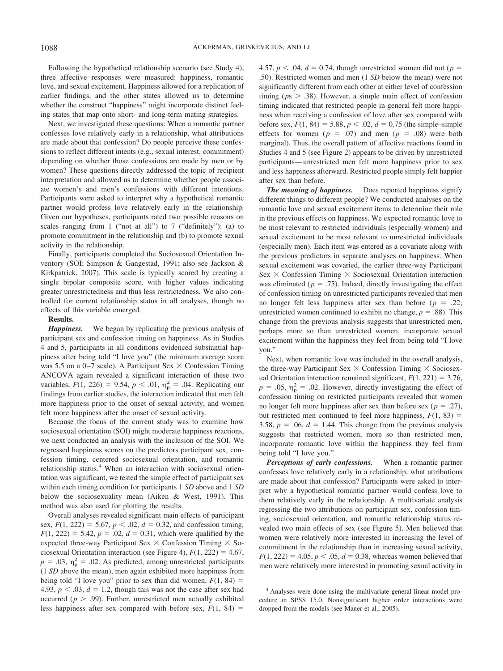Following the hypothetical relationship scenario (see Study 4), three affective responses were measured: happiness, romantic love, and sexual excitement. Happiness allowed for a replication of earlier findings, and the other states allowed us to determine whether the construct "happiness" might incorporate distinct feeling states that map onto short- and long-term mating strategies.

Next, we investigated these questions: When a romantic partner confesses love relatively early in a relationship, what attributions are made about that confession? Do people perceive these confessions to reflect different intents (e.g., sexual interest, commitment) depending on whether those confessions are made by men or by women? These questions directly addressed the topic of recipient interpretation and allowed us to determine whether people associate women's and men's confessions with different intentions. Participants were asked to interpret why a hypothetical romantic partner would profess love relatively early in the relationship. Given our hypotheses, participants rated two possible reasons on scales ranging from 1 ("not at all") to 7 ("definitely"): (a) to promote commitment in the relationship and (b) to promote sexual activity in the relationship.

Finally, participants completed the Sociosexual Orientation Inventory (SOI; Simpson & Gangestad, 1991; also see Jackson & Kirkpatrick, 2007). This scale is typically scored by creating a single bipolar composite score, with higher values indicating greater unrestrictedness and thus less restrictedness. We also controlled for current relationship status in all analyses, though no effects of this variable emerged.

#### **Results.**

*Happiness.* We began by replicating the previous analysis of participant sex and confession timing on happiness. As in Studies 4 and 5, participants in all conditions evidenced substantial happiness after being told "I love you" (the minimum average score was 5.5 on a 0-7 scale). A Participant Sex  $\times$  Confession Timing ANCOVA again revealed a significant interaction of these two variables,  $F(1, 226) = 9.54$ ,  $p < .01$ ,  $\eta_p^2 = .04$ . Replicating our findings from earlier studies, the interaction indicated that men felt more happiness prior to the onset of sexual activity, and women felt more happiness after the onset of sexual activity.

Because the focus of the current study was to examine how sociosexual orientation (SOI) might moderate happiness reactions, we next conducted an analysis with the inclusion of the SOI. We regressed happiness scores on the predictors participant sex, confession timing, centered sociosexual orientation, and romantic relationship status.<sup>4</sup> When an interaction with sociosexual orientation was significant, we tested the simple effect of participant sex within each timing condition for participants 1 *SD* above and 1 *SD* below the sociosexuality mean (Aiken & West, 1991). This method was also used for plotting the results.

Overall analyses revealed significant main effects of participant sex,  $F(1, 222) = 5.67$ ,  $p < .02$ ,  $d = 0.32$ , and confession timing,  $F(1, 222) = 5.42$ ,  $p = .02$ ,  $d = 0.31$ , which were qualified by the expected three-way Participant Sex  $\times$  Confession Timing  $\times$  Sociosexual Orientation interaction (see Figure 4),  $F(1, 222) = 4.67$ ,  $p = .03$ ,  $\eta_p^2 = .02$ . As predicted, among unrestricted participants (1 *SD* above the mean), men again exhibited more happiness from being told "I love you" prior to sex than did women,  $F(1, 84) =$ 4.93,  $p < .03$ ,  $d = 1.2$ , though this was not the case after sex had occurred ( $p > .99$ ). Further, unrestricted men actually exhibited less happiness after sex compared with before sex,  $F(1, 84) =$ 

4.57,  $p < .04$ ,  $d = 0.74$ , though unrestricted women did not ( $p =$ .50). Restricted women and men (1 *SD* below the mean) were not significantly different from each other at either level of confession timing ( $p_s$   $>$  .38). However, a simple main effect of confession timing indicated that restricted people in general felt more happiness when receiving a confession of love after sex compared with before sex,  $F(1, 84) = 5.88$ ,  $p < .02$ ,  $d = 0.75$  (the simple–simple effects for women ( $p = .07$ ) and men ( $p = .08$ ) were both marginal). Thus, the overall pattern of affective reactions found in Studies 4 and 5 (see Figure 2) appears to be driven by unrestricted participants— unrestricted men felt more happiness prior to sex and less happiness afterward. Restricted people simply felt happier after sex than before.

*The meaning of happiness.* Does reported happiness signify different things to different people? We conducted analyses on the romantic love and sexual excitement items to determine their role in the previous effects on happiness. We expected romantic love to be most relevant to restricted individuals (especially women) and sexual excitement to be most relevant to unrestricted individuals (especially men). Each item was entered as a covariate along with the previous predictors in separate analyses on happiness. When sexual excitement was covaried, the earlier three-way Participant  $Sex \times$  Confession Timing  $\times$  Sociosexual Orientation interaction was eliminated ( $p = .75$ ). Indeed, directly investigating the effect of confession timing on unrestricted participants revealed that men no longer felt less happiness after sex than before ( $p = .22$ ; unrestricted women continued to exhibit no change,  $p = .88$ ). This change from the previous analysis suggests that unrestricted men, perhaps more so than unrestricted women, incorporate sexual excitement within the happiness they feel from being told "I love you."

Next, when romantic love was included in the overall analysis, the three-way Participant Sex  $\times$  Confession Timing  $\times$  Sociosexual Orientation interaction remained significant,  $F(1, 221) = 3.76$ ,  $p = .05$ ,  $\eta_p^2 = .02$ . However, directly investigating the effect of confession timing on restricted participants revealed that women no longer felt more happiness after sex than before sex ( $p = .27$ ), but restricted men continued to feel more happiness,  $F(1, 83) =$ 3.58,  $p = .06$ ,  $d = 1.44$ . This change from the previous analysis suggests that restricted women, more so than restricted men, incorporate romantic love within the happiness they feel from being told "I love you."

*Perceptions of early confessions.* When a romantic partner confesses love relatively early in a relationship, what attributions are made about that confession? Participants were asked to interpret why a hypothetical romantic partner would confess love to them relatively early in the relationship. A multivariate analysis regressing the two attributions on participant sex, confession timing, sociosexual orientation, and romantic relationship status revealed two main effects of sex (see Figure 5). Men believed that women were relatively more interested in increasing the level of commitment in the relationship than in increasing sexual activity,  $F(1, 222) = 4.05, p < .05, d = 0.38$ , whereas women believed that men were relatively more interested in promoting sexual activity in

<sup>4</sup> Analyses were done using the multivariate general linear model procedure in SPSS 15.0. Nonsignificant higher order interactions were dropped from the models (see Maner et al., 2005).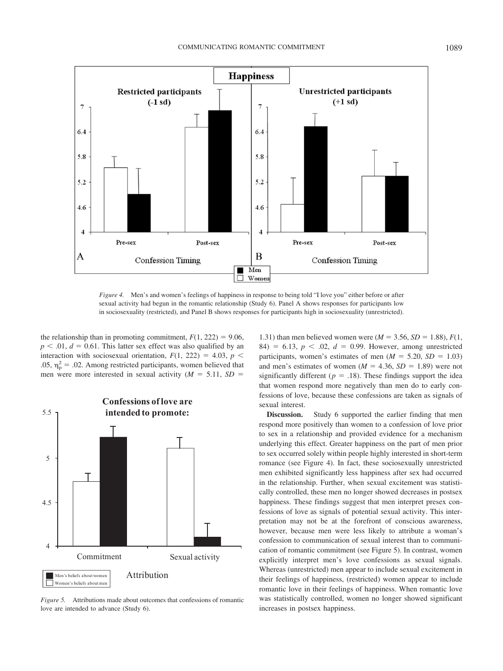

*Figure 4.* Men's and women's feelings of happiness in response to being told "I love you" either before or after sexual activity had begun in the romantic relationship (Study 6). Panel A shows responses for participants low in sociosexuality (restricted), and Panel B shows responses for participants high in sociosexuality (unrestricted).

the relationship than in promoting commitment,  $F(1, 222) = 9.06$ ,  $p < .01$ ,  $d = 0.61$ . This latter sex effect was also qualified by an interaction with sociosexual orientation,  $F(1, 222) = 4.03$ ,  $p <$ .05,  $\eta_p^2 = .02$ . Among restricted participants, women believed that men were more interested in sexual activity  $(M = 5.11, SD =$ 



*Figure 5.* Attributions made about outcomes that confessions of romantic love are intended to advance (Study 6).

1.31) than men believed women were  $(M = 3.56, SD = 1.88)$ ,  $F(1,$ 84) = 6.13,  $p < .02$ ,  $d = 0.99$ . However, among unrestricted participants, women's estimates of men  $(M = 5.20, SD = 1.03)$ and men's estimates of women  $(M = 4.36, SD = 1.89)$  were not significantly different ( $p = .18$ ). These findings support the idea that women respond more negatively than men do to early confessions of love, because these confessions are taken as signals of sexual interest.

**Discussion.** Study 6 supported the earlier finding that men respond more positively than women to a confession of love prior to sex in a relationship and provided evidence for a mechanism underlying this effect. Greater happiness on the part of men prior to sex occurred solely within people highly interested in short-term romance (see Figure 4). In fact, these sociosexually unrestricted men exhibited significantly less happiness after sex had occurred in the relationship. Further, when sexual excitement was statistically controlled, these men no longer showed decreases in postsex happiness. These findings suggest that men interpret presex confessions of love as signals of potential sexual activity. This interpretation may not be at the forefront of conscious awareness, however, because men were less likely to attribute a woman's confession to communication of sexual interest than to communication of romantic commitment (see Figure 5). In contrast, women explicitly interpret men's love confessions as sexual signals. Whereas (unrestricted) men appear to include sexual excitement in their feelings of happiness, (restricted) women appear to include romantic love in their feelings of happiness. When romantic love was statistically controlled, women no longer showed significant increases in postsex happiness.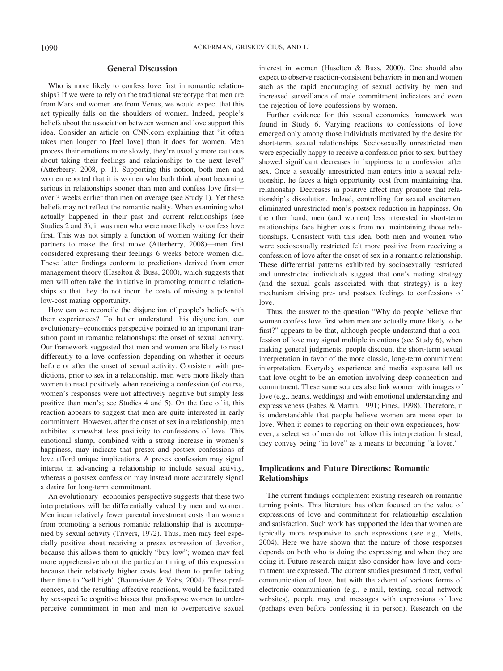### **General Discussion**

Who is more likely to confess love first in romantic relationships? If we were to rely on the traditional stereotype that men are from Mars and women are from Venus, we would expect that this act typically falls on the shoulders of women. Indeed, people's beliefs about the association between women and love support this idea. Consider an article on CNN.com explaining that "it often takes men longer to [feel love] than it does for women. Men process their emotions more slowly, they're usually more cautious about taking their feelings and relationships to the next level" (Atterberry, 2008, p. 1). Supporting this notion, both men and women reported that it is women who both think about becoming serious in relationships sooner than men and confess love first over 3 weeks earlier than men on average (see Study 1). Yet these beliefs may not reflect the romantic reality. When examining what actually happened in their past and current relationships (see Studies 2 and 3), it was men who were more likely to confess love first. This was not simply a function of women waiting for their partners to make the first move (Atterberry, 2008)—men first considered expressing their feelings 6 weeks before women did. These latter findings conform to predictions derived from error management theory (Haselton & Buss, 2000), which suggests that men will often take the initiative in promoting romantic relationships so that they do not incur the costs of missing a potential low-cost mating opportunity.

How can we reconcile the disjunction of people's beliefs with their experiences? To better understand this disjunction, our evolutionary– economics perspective pointed to an important transition point in romantic relationships: the onset of sexual activity. Our framework suggested that men and women are likely to react differently to a love confession depending on whether it occurs before or after the onset of sexual activity. Consistent with predictions, prior to sex in a relationship, men were more likely than women to react positively when receiving a confession (of course, women's responses were not affectively negative but simply less positive than men's; see Studies 4 and 5). On the face of it, this reaction appears to suggest that men are quite interested in early commitment. However, after the onset of sex in a relationship, men exhibited somewhat less positivity to confessions of love. This emotional slump, combined with a strong increase in women's happiness, may indicate that presex and postsex confessions of love afford unique implications. A presex confession may signal interest in advancing a relationship to include sexual activity, whereas a postsex confession may instead more accurately signal a desire for long-term commitment.

An evolutionary– economics perspective suggests that these two interpretations will be differentially valued by men and women. Men incur relatively fewer parental investment costs than women from promoting a serious romantic relationship that is accompanied by sexual activity (Trivers, 1972). Thus, men may feel especially positive about receiving a presex expression of devotion, because this allows them to quickly "buy low"; women may feel more apprehensive about the particular timing of this expression because their relatively higher costs lead them to prefer taking their time to "sell high" (Baumeister & Vohs, 2004). These preferences, and the resulting affective reactions, would be facilitated by sex-specific cognitive biases that predispose women to underperceive commitment in men and men to overperceive sexual interest in women (Haselton & Buss, 2000). One should also expect to observe reaction-consistent behaviors in men and women such as the rapid encouraging of sexual activity by men and increased surveillance of male commitment indicators and even the rejection of love confessions by women.

Further evidence for this sexual economics framework was found in Study 6. Varying reactions to confessions of love emerged only among those individuals motivated by the desire for short-term, sexual relationships. Sociosexually unrestricted men were especially happy to receive a confession prior to sex, but they showed significant decreases in happiness to a confession after sex. Once a sexually unrestricted man enters into a sexual relationship, he faces a high opportunity cost from maintaining that relationship. Decreases in positive affect may promote that relationship's dissolution. Indeed, controlling for sexual excitement eliminated unrestricted men's postsex reduction in happiness. On the other hand, men (and women) less interested in short-term relationships face higher costs from not maintaining those relationships. Consistent with this idea, both men and women who were sociosexually restricted felt more positive from receiving a confession of love after the onset of sex in a romantic relationship. These differential patterns exhibited by sociosexually restricted and unrestricted individuals suggest that one's mating strategy (and the sexual goals associated with that strategy) is a key mechanism driving pre- and postsex feelings to confessions of love.

Thus, the answer to the question "Why do people believe that women confess love first when men are actually more likely to be first?" appears to be that, although people understand that a confession of love may signal multiple intentions (see Study 6), when making general judgments, people discount the short-term sexual interpretation in favor of the more classic, long-term commitment interpretation. Everyday experience and media exposure tell us that love ought to be an emotion involving deep connection and commitment. These same sources also link women with images of love (e.g., hearts, weddings) and with emotional understanding and expressiveness (Fabes & Martin, 1991; Pines, 1998). Therefore, it is understandable that people believe women are more open to love. When it comes to reporting on their own experiences, however, a select set of men do not follow this interpretation. Instead, they convey being "in love" as a means to becoming "a lover."

# **Implications and Future Directions: Romantic Relationships**

The current findings complement existing research on romantic turning points. This literature has often focused on the value of expressions of love and commitment for relationship escalation and satisfaction. Such work has supported the idea that women are typically more responsive to such expressions (see e.g., Metts, 2004). Here we have shown that the nature of those responses depends on both who is doing the expressing and when they are doing it. Future research might also consider how love and commitment are expressed. The current studies presumed direct, verbal communication of love, but with the advent of various forms of electronic communication (e.g., e-mail, texting, social network websites), people may end messages with expressions of love (perhaps even before confessing it in person). Research on the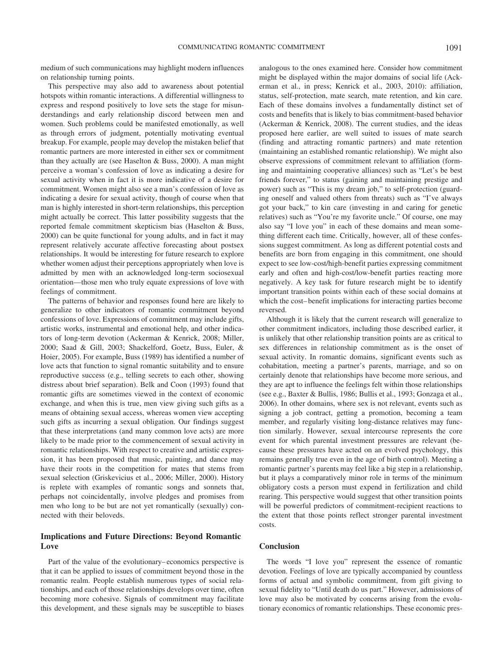medium of such communications may highlight modern influences on relationship turning points.

This perspective may also add to awareness about potential hotspots within romantic interactions. A differential willingness to express and respond positively to love sets the stage for misunderstandings and early relationship discord between men and women. Such problems could be manifested emotionally, as well as through errors of judgment, potentially motivating eventual breakup. For example, people may develop the mistaken belief that romantic partners are more interested in either sex or commitment than they actually are (see Haselton  $& Buss, 2000$ ). A man might perceive a woman's confession of love as indicating a desire for sexual activity when in fact it is more indicative of a desire for commitment. Women might also see a man's confession of love as indicating a desire for sexual activity, though of course when that man is highly interested in short-term relationships, this perception might actually be correct. This latter possibility suggests that the reported female commitment skepticism bias (Haselton & Buss, 2000) can be quite functional for young adults, and in fact it may represent relatively accurate affective forecasting about postsex relationships. It would be interesting for future research to explore whether women adjust their perceptions appropriately when love is admitted by men with an acknowledged long-term sociosexual orientation—those men who truly equate expressions of love with feelings of commitment.

The patterns of behavior and responses found here are likely to generalize to other indicators of romantic commitment beyond confessions of love. Expressions of commitment may include gifts, artistic works, instrumental and emotional help, and other indicators of long-term devotion (Ackerman & Kenrick, 2008; Miller, 2000; Saad & Gill, 2003; Shackelford, Goetz, Buss, Euler, & Hoier, 2005). For example, Buss (1989) has identified a number of love acts that function to signal romantic suitability and to ensure reproductive success (e.g., telling secrets to each other, showing distress about brief separation). Belk and Coon (1993) found that romantic gifts are sometimes viewed in the context of economic exchange, and when this is true, men view giving such gifts as a means of obtaining sexual access, whereas women view accepting such gifts as incurring a sexual obligation. Our findings suggest that these interpretations (and many common love acts) are more likely to be made prior to the commencement of sexual activity in romantic relationships. With respect to creative and artistic expression, it has been proposed that music, painting, and dance may have their roots in the competition for mates that stems from sexual selection (Griskevicius et al., 2006; Miller, 2000). History is replete with examples of romantic songs and sonnets that, perhaps not coincidentally, involve pledges and promises from men who long to be but are not yet romantically (sexually) connected with their beloveds.

# **Implications and Future Directions: Beyond Romantic Love**

Part of the value of the evolutionary– economics perspective is that it can be applied to issues of commitment beyond those in the romantic realm. People establish numerous types of social relationships, and each of those relationships develops over time, often becoming more cohesive. Signals of commitment may facilitate this development, and these signals may be susceptible to biases

analogous to the ones examined here. Consider how commitment might be displayed within the major domains of social life (Ackerman et al., in press; Kenrick et al., 2003, 2010): affiliation, status, self-protection, mate search, mate retention, and kin care. Each of these domains involves a fundamentally distinct set of costs and benefits that is likely to bias commitment-based behavior (Ackerman & Kenrick, 2008). The current studies, and the ideas proposed here earlier, are well suited to issues of mate search (finding and attracting romantic partners) and mate retention (maintaining an established romantic relationship). We might also observe expressions of commitment relevant to affiliation (forming and maintaining cooperative alliances) such as "Let's be best friends forever," to status (gaining and maintaining prestige and power) such as "This is my dream job," to self-protection (guarding oneself and valued others from threats) such as "I've always got your back," to kin care (investing in and caring for genetic relatives) such as "You're my favorite uncle." Of course, one may also say "I love you" in each of these domains and mean something different each time. Critically, however, all of these confessions suggest commitment. As long as different potential costs and benefits are born from engaging in this commitment, one should expect to see low-cost/high-benefit parties expressing commitment early and often and high-cost/low-benefit parties reacting more negatively. A key task for future research might be to identify important transition points within each of these social domains at which the cost– benefit implications for interacting parties become reversed.

Although it is likely that the current research will generalize to other commitment indicators, including those described earlier, it is unlikely that other relationship transition points are as critical to sex differences in relationship commitment as is the onset of sexual activity. In romantic domains, significant events such as cohabitation, meeting a partner's parents, marriage, and so on certainly denote that relationships have become more serious, and they are apt to influence the feelings felt within those relationships (see e.g., Baxter & Bullis, 1986; Bullis et al., 1993; Gonzaga et al., 2006). In other domains, where sex is not relevant, events such as signing a job contract, getting a promotion, becoming a team member, and regularly visiting long-distance relatives may function similarly. However, sexual intercourse represents the core event for which parental investment pressures are relevant (because these pressures have acted on an evolved psychology, this remains generally true even in the age of birth control). Meeting a romantic partner's parents may feel like a big step in a relationship, but it plays a comparatively minor role in terms of the minimum obligatory costs a person must expend in fertilization and child rearing. This perspective would suggest that other transition points will be powerful predictors of commitment-recipient reactions to the extent that those points reflect stronger parental investment costs.

# **Conclusion**

The words "I love you" represent the essence of romantic devotion. Feelings of love are typically accompanied by countless forms of actual and symbolic commitment, from gift giving to sexual fidelity to "Until death do us part." However, admissions of love may also be motivated by concerns arising from the evolutionary economics of romantic relationships. These economic pres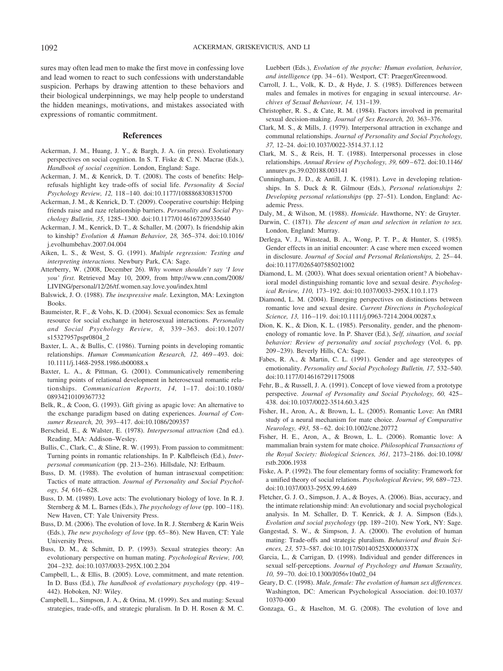sures may often lead men to make the first move in confessing love and lead women to react to such confessions with understandable suspicion. Perhaps by drawing attention to these behaviors and their biological underpinnings, we may help people to understand the hidden meanings, motivations, and mistakes associated with expressions of romantic commitment.

#### **References**

- Ackerman, J. M., Huang, J. Y., & Bargh, J. A. (in press). Evolutionary perspectives on social cognition. In S. T. Fiske & C. N. Macrae (Eds.), *Handbook of social cognition*. London, England: Sage.
- Ackerman, J. M., & Kenrick, D. T. (2008). The costs of benefits: Helprefusals highlight key trade-offs of social life. *Personality & Social Psychology Review, 12,* 118 –140. doi:10.1177/1088868308315700
- Ackerman, J. M., & Kenrick, D. T. (2009). Cooperative courtship: Helping friends raise and raze relationship barriers. *Personality and Social Psychology Bulletin, 35,* 1285–1300. doi:10.1177/0146167209335640
- Ackerman, J. M., Kenrick, D. T., & Schaller, M. (2007). Is friendship akin to kinship? *Evolution & Human Behavior, 28,* 365–374. doi:10.1016/ j.evolhumbehav.2007.04.004
- Aiken, L. S., & West, S. G. (1991). *Multiple regression: Testing and interpreting interactions.* Newbury Park, CA: Sage.
- Atterberry, W. (2008, December 26). *Why women shouldn't say 'I love you' first.* Retrieved May 10, 2009, from http://www.cnn.com/2008/ LIVING/personal/12/26/tf.women.say.love.you/index.html
- Balswick, J. O. (1988). *The inexpressive male.* Lexington, MA: Lexington Books.
- Baumeister, R. F., & Vohs, K. D. (2004). Sexual economics: Sex as female resource for social exchange in heterosexual interactions. *Personality and Social Psychology Review, 8,* 339 –363. doi:10.1207/ s15327957pspr0804\_2
- Baxter, L. A., & Bullis, C. (1986). Turning points in developing romantic relationships. *Human Communication Research, 12, 469-493*. doi: 10.1111/j.1468-2958.1986.tb00088.x
- Baxter, L. A., & Pittman, G. (2001). Communicatively remembering turning points of relational development in heterosexual romantic relationships. *Communication Reports, 14,* 1–17. doi:10.1080/ 08934210109367732
- Belk, R., & Coon, G. (1993). Gift giving as apagic love: An alternative to the exchange paradigm based on dating experiences. *Journal of Consumer Research, 20,* 393– 417. doi:10.1086/209357
- Berscheid, E., & Walster, E. (1978). *Interpersonal attraction* (2nd ed.). Reading, MA: Addison–Wesley.
- Bullis, C., Clark, C., & Sline, R. W. (1993). From passion to commitment: Turning points in romantic relationships. In P. Kalbfleisch (Ed.), *Interpersonal communication* (pp. 213–236). Hillsdale, NJ: Erlbaum.
- Buss, D. M. (1988). The evolution of human intrasexual competition: Tactics of mate attraction. *Journal of Personality and Social Psychology, 54,* 616 – 628.
- Buss, D. M. (1989). Love acts: The evolutionary biology of love. In R. J. Sternberg & M. L. Barnes (Eds.), *The psychology of love* (pp. 100-118). New Haven, CT: Yale University Press.
- Buss, D. M. (2006). The evolution of love. In R. J. Sternberg & Karin Weis (Eds.), *The new psychology of love* (pp. 65– 86). New Haven, CT: Yale University Press.
- Buss, D. M., & Schmitt, D. P. (1993). Sexual strategies theory: An evolutionary perspective on human mating. *Psychological Review, 100,* 204 –232. doi:10.1037/0033-295X.100.2.204
- Campbell, L., & Ellis, B. (2005). Love, commitment, and mate retention. In D. Buss (Ed.), *The handbook of evolutionary psychology* (pp. 419 – 442). Hoboken, NJ: Wiley.
- Campbell, L., Simpson, J. A., & Orina, M. (1999). Sex and mating: Sexual strategies, trade-offs, and strategic pluralism. In D. H. Rosen & M. C.

Luebbert (Eds.), *Evolution of the psyche: Human evolution, behavior,* and intelligence (pp. 34-61). Westport, CT: Praeger/Greenwood.

- Carroll, J. L., Volk, K. D., & Hyde, J. S. (1985). Differences between males and females in motives for engaging in sexual intercourse. *Archives of Sexual Behaviour, 14,* 131–139.
- Christopher, R. S., & Cate, R. M. (1984). Factors involved in premarital sexual decision-making. *Journal of Sex Research, 20,* 363–376.
- Clark, M. S., & Mills, J. (1979). Interpersonal attraction in exchange and communal relationships. *Journal of Personality and Social Psychology, 37,* 12–24. doi:10.1037/0022-3514.37.1.12
- Clark, M. S., & Reis, H. T. (1988). Interpersonal processes in close relationships. *Annual Review of Psychology, 39,* 609 – 672. doi:10.1146/ annurev.ps.39.020188.003141
- Cunningham, J. D., & Antill, J. K. (1981). Love in developing relationships. In S. Duck & R. Gilmour (Eds.), *Personal relationships 2: Developing personal relationships* (pp. 27–51). London, England: Academic Press.

Daly, M., & Wilson, M. (1988). *Homicide.* Hawthorne, NY: de Gruyter.

- Darwin, C. (1871). *The descent of man and selection in relation to sex.* London, England: Murray.
- Derlega, V. J., Winstead, B. A., Wong, P. T. P., & Hunter, S. (1985). Gender effects in an initial encounter: A case where men exceed women in disclosure. *Journal of Social and Personal Relationships, 2, 25*-44. doi:10.1177/0265407585021002
- Diamond, L. M. (2003). What does sexual orientation orient? A biobehavioral model distinguishing romantic love and sexual desire. *Psychological Review, 110,* 173–192. doi:10.1037/0033-295X.110.1.173
- Diamond, L. M. (2004). Emerging perspectives on distinctions between romantic love and sexual desire. *Current Directions in Psychological Science, 13,* 116 –119. doi:10.1111/j.0963-7214.2004.00287.x
- Dion, K. K., & Dion, K. L. (1985). Personality, gender, and the phenomenology of romantic love. In P. Shaver (Ed.), *Self, situation, and social behavior: Review of personality and social psychology* (Vol. 6, pp. 209 –239). Beverly Hills, CA: Sage.
- Fabes, R. A., & Martin, C. L. (1991). Gender and age stereotypes of emotionality. *Personality and Social Psychology Bulletin, 17,* 532–540. doi:10.1177/0146167291175008
- Fehr, B., & Russell, J. A. (1991). Concept of love viewed from a prototype perspective. *Journal of Personality and Social Psychology, 60,* 425– 438. doi:10.1037/0022-3514.60.3.425
- Fisher, H., Aron, A., & Brown, L. L. (2005). Romantic Love: An fMRI study of a neural mechanism for mate choice. *Journal of Comparative Neurology, 493,* 58 – 62. doi:10.1002/cne.20772
- Fisher, H. E., Aron, A., & Brown, L. L. (2006). Romantic love: A mammalian brain system for mate choice. *Philosophical Transactions of the Royal Society: Biological Sciences, 361,* 2173–2186. doi:10.1098/ rstb.2006.1938
- Fiske, A. P. (1992). The four elementary forms of sociality: Framework for a unified theory of social relations. *Psychological Review, 99,* 689 –723. doi:10.1037/0033-295X.99.4.689
- Fletcher, G. J. O., Simpson, J. A., & Boyes, A. (2006). Bias, accuracy, and the intimate relationship mind: An evolutionary and social psychological analysis. In M. Schaller, D. T. Kenrick, & J. A. Simpson (Eds.), *Evolution and social psychology* (pp. 189 –210). New York, NY: Sage.
- Gangestad, S. W., & Simpson, J. A. (2000). The evolution of human mating: Trade-offs and strategic pluralism. *Behavioral and Brain Sciences, 23,* 573–587. doi:10.1017/S0140525X0000337X
- Garcia, L., & Carrigan, D. (1998). Individual and gender differences in sexual self-perceptions. *Journal of Psychology and Human Sexuality, 10,* 59 –70. doi:10.1300/J056v10n02\_04
- Geary, D. C. (1998). *Male, female: The evolution of human sex differences.* Washington, DC: American Psychological Association. doi:10.1037/ 10370-000
- Gonzaga, G., & Haselton, M. G. (2008). The evolution of love and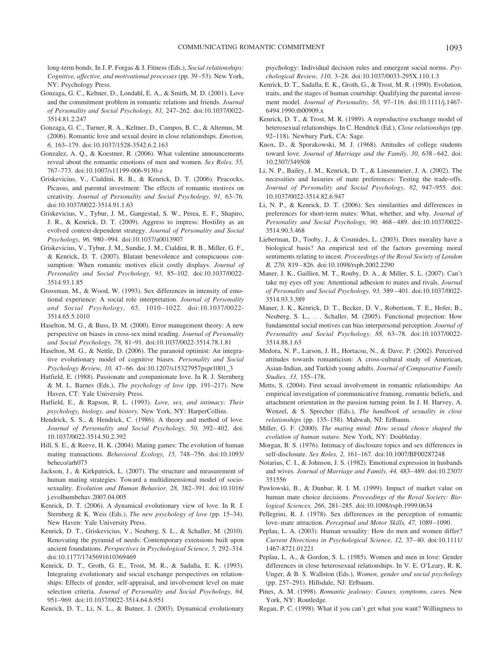long-term bonds. In J. P. Forgas & J. Fitness (Eds.), *Social relationships: Cognitive, affective, and motivational processes* (pp. 39 –53). New York, NY: Psychology Press.

- Gonzaga, G. C., Keltner, D., Londahl, E. A., & Smith, M. D. (2001). Love and the commitment problem in romantic relations and friends. *Journal of Personality and Social Psychology, 81,* 247–262. doi:10.1037/0022- 3514.81.2.247
- Gonzaga, G. C., Turner, R. A., Keltner, D., Campos, B. C., & Altemus, M. (2006). Romantic love and sexual desire in close relationships. *Emotion, 6,* 163–179. doi:10.1037/1528-3542.6.2.163
- Gonzalez, A. Q., & Koestner, R. (2006). What valentine announcements reveal about the romantic emotions of men and women. *Sex Roles, 55,* 767–773. doi:10.1007/s11199-006-9130-z
- Griskevicius, V., Cialdini, R. B., & Kenrick, D. T. (2006). Peacocks, Picasso, and parental investment: The effects of romantic motives on creativity. *Journal of Personality and Social Psychology, 91,* 63–76. doi:10.1037/0022-3514.91.1.63
- Griskevicius, V., Tybur, J. M., Gangestad, S. W., Perea, E. F., Shapiro, J. R., & Kenrick, D. T. (2009). Aggress to impress: Hostility as an evolved context-dependent strategy. *Journal of Personality and Social Psychology, 96,* 980 –994. doi:10.1037/a0013907
- Griskevicius, V., Tybur, J. M., Sundie, J. M., Cialdini, R. B., Miller, G. F., & Kenrick, D. T. (2007). Blatant benevolence and conspicuous consumption: When romantic motives elicit costly displays. *Journal of Personality and Social Psychology, 93,* 85–102. doi:10.1037/0022- 3514.93.1.85
- Grossman, M., & Wood, W. (1993). Sex differences in intensity of emotional experience: A social role interpretation. *Journal of Personality and Social Psychology, 65,* 1010 –1022. doi:10.1037/0022- 3514.65.5.1010
- Haselton, M. G., & Buss, D. M. (2000). Error management theory: A new perspective on biases in cross-sex mind reading. *Journal of Personality and Social Psychology, 78,* 81–91. doi:10.1037/0022-3514.78.1.81
- Haselton, M. G., & Nettle, D. (2006). The paranoid optimist: An integrative evolutionary model of cognitive biases. *Personality and Social Psychology Review, 10,* 47– 66. doi:10.1207/s15327957pspr1001\_3
- Hatfield, E. (1988). Passionate and companionate love. In R. J. Sternberg & M. L. Barnes (Eds.), *The psychology of love* (pp. 191–217). New Haven, CT: Yale University Press.
- Hatfield, E., & Rapson, R. L. (1993). *Love, sex, and intimacy: Their psychology, biology, and history.* New York, NY: HarperCollins.
- Hendrick, S. S., & Hendrick, C. (1986). A theory and method of love. Journal of Personality and Social Psychology, 50, 392-402. doi: 10.1037/0022-3514.50.2.392
- Hill, S. E., & Reeve, H. K. (2004). Mating games: The evolution of human mating transactions. *Behavioral Ecology, 15,* 748 –756. doi:10.1093/ beheco/arh073
- Jackson, J., & Kirkpatrick, L. (2007). The structure and measurement of human mating strategies: Toward a multidimensional model of sociosexuality. *Evolution and Human Behavior, 28,* 382–391. doi:10.1016/ j.evolhumbehav.2007.04.005
- Kenrick, D. T. (2006). A dynamical evolutionary view of love. In R. J. Sternberg & K. Weis (Eds.), *The new psychology of love* (pp. 15–34). New Haven: Yale University Press.
- Kenrick, D. T., Griskevicius, V., Neuberg, S. L., & Schaller, M. (2010). Renovating the pyramid of needs: Contemporary extensions built upon ancient foundations. *Perspectives in Psychological Science, 5,* 292–314. doi:10.1177/1745691610369469
- Kenrick, D. T., Groth, G. E., Trost, M. R., & Sadalla, E. K. (1993). Integrating evolutionary and social exchange perspectives on relationships: Effects of gender, self-appraisal, and involvement level on mate selection criteria. *Journal of Personality and Social Psychology, 64,* 951–969. doi:10.1037/0022-3514.64.6.951

Kenrick, D. T., Li, N. L., & Butner, J. (2003). Dynamical evolutionary

psychology: Individual decision rules and emergent social norms. *Psychological Review, 110,* 3–28. doi:10.1037/0033-295X.110.1.3

- Kenrick, D. T., Sadalla, E. K., Groth, G., & Trost, M. R. (1990). Evolution, traits, and the stages of human courtship: Qualifying the parental investment model. *Journal of Personality, 58,* 97–116. doi:10.1111/j.1467- 6494.1990.tb00909.x
- Kenrick, D. T., & Trost, M. R. (1989). A reproductive exchange model of heterosexual relationships. In C. Hendrick (Ed.), *Close relationships* (pp. 92–118). Newbury Park, CA: Sage.
- Knox, D., & Sporakowski, M. J. (1968). Attitudes of college students toward love. *Journal of Marriage and the Family, 30, 638-642*. doi: 10.2307/349508
- Li, N. P., Bailey, J. M., Kenrick, D. T., & Linsenmeier, J. A. (2002). The necessities and luxuries of mate preferences: Testing the trade-offs. *Journal of Personality and Social Psychology, 82,* 947–955. doi: 10.1037/0022-3514.82.6.947
- Li, N. P., & Kenrick, D. T. (2006). Sex similarities and differences in preferences for short-term mates: What, whether, and why. *Journal of Personality and Social Psychology, 90,* 468 – 489. doi:10.1037/0022- 3514.90.3.468
- Lieberman, D., Tooby, J., & Cosmides, L. (2003). Does morality have a biological basis? An empirical test of the factors governing moral sentiments relating to incest. *Proceedings of the Royal Society of London B, 270,* 819 – 826. doi:10.1098/rspb.2002.2290
- Maner, J. K., Gailliot, M. T., Rouby, D. A., & Miller, S. L. (2007). Can't take my eyes off you: Attentional adhesion to mates and rivals. *Journal of Personality and Social Psychology, 93,* 389 – 401. doi:10.1037/0022- 3514.93.3.389
- Maner, J. K., Kenrick, D. T., Becker, D. V., Robertson, T. E., Hofer, B., Neuberg, S. L., ... Schaller, M. (2005). Functional projection: How fundamental social motives can bias interpersonal perception. *Journal of Personality and Social Psychology, 88,* 63–78. doi:10.1037/0022- 3514.88.1.63
- Medora, N. P., Larson, J. H., Hortacsu, N., & Dave, P. (2002). Perceived attitudes towards romanticism: A cross-cultural study of American, Asian-Indian, and Turkish young adults. *Journal of Comparative Family Studies, 33,* 155–178.
- Metts, S. (2004). First sexual involvement in romantic relationships: An empirical investigation of communicative framing, romantic beliefs, and attachment orientation in the passion turning point. In J. H. Harvey, A. Wenzel, & S. Sprecher (Eds.), *The handbook of sexuality in close relationships* (pp. 135–158). Mahwah, NJ: Erlbaum.
- Miller, G. F. (2000). *The mating mind: How sexual choice shaped the evolution of human nature.* New York, NY: Doubleday.
- Morgan, B. S. (1976). Intimacy of disclosure topics and sex differences in self-disclosure. *Sex Roles, 2,* 161–167. doi:10.1007/BF00287248
- Notarius, C. I., & Johnson, J. S. (1982). Emotional expression in husbands and wives. *Journal of Marriage and Family, 44,* 483– 489. doi:10.2307/ 351556
- Pawlowski, B., & Dunbar, R. I. M. (1999). Impact of market value on human mate choice decisions. *Proceedings of the Royal Society: Biological Sciences, 266,* 281–285. doi:10.1098/rspb.1999.0634
- Pellegrini, R. J. (1978). Sex differences in the perception of romantic love–mate attraction. *Perceptual and Motor Skills, 47,* 1089 –1090.
- Peplau, L. A. (2003). Human sexuality: How do men and women differ? *Current Directions in Psychological Science, 12,* 37– 40. doi:10.1111/ 1467-8721.01221
- Peplau, L. A., & Gordon, S. L. (1985). Women and men in love: Gender differences in close heterosexual relationships. In V. E. O'Leary, R. K. Unger, & B. S. Wallston (Eds.), *Women, gender and social psychology* (pp. 257–291). Hillsdale, NJ: Erlbaum.
- Pines, A. M. (1998). *Romantic jealousy: Causes, symptoms, cures.* New York, NY: Routledge.
- Regan, P. C. (1998). What if you can't get what you want? Willingness to